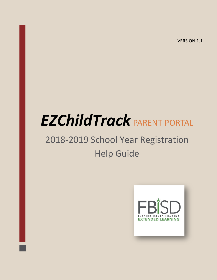VERSION 1.1

# *EZChildTrack* PARENT PORTAL

# 2018-2019 School Year Registration Help Guide

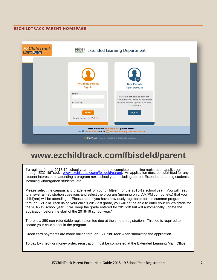#### **EZCHILDTRACK PARENT HOMEPAGE**

| <b>EZChildTrack</b><br><b>FBISD</b> Extended Learning Department<br><b>ParentPortal</b>                                                                                                       |                                                                                                           |                                                                                                                                                                                      |  |  |  |  |  |  |
|-----------------------------------------------------------------------------------------------------------------------------------------------------------------------------------------------|-----------------------------------------------------------------------------------------------------------|--------------------------------------------------------------------------------------------------------------------------------------------------------------------------------------|--|--|--|--|--|--|
|                                                                                                                                                                                               | <b>Returning Parents</b><br>Sign In<br><b>Email</b><br>Password<br>Sign In<br>Forgot Password? Click here | <b>New Parents</b><br><b>Open Account</b><br>If you do not have an account<br>with Extended Learning Department<br>then register for a program to open<br>a new account.<br>Register |  |  |  |  |  |  |
| Need Help with 'Fort Bend ISD' parent portal?<br>Call <sup>@</sup> 281-634-4220 Email 2 extendedlearning@fortbendisd.com<br>EZ Child Track Version 2018.1.0308 @ GTSoft Inc.   Privacy Policy |                                                                                                           |                                                                                                                                                                                      |  |  |  |  |  |  |

## **www.ezchildtrack.com/fbisdeld/parent**

To register for the 2018-19 school year, parents need to complete the online registration application through EZChildTrack - <u>www.ezchildtrack.com/fbisdeld/parent</u>. An application must be submitted for any student interested in attending a program next school year including current Extended Learning students, incoming kindergarten students, etc.

Please select the campus and grade level for your child(ren) for the 2018-19 school year. You will need to answer all registration questions and select the program (morning only, AM/PM combo, etc.) that your child(ren) will be attending. \*Please note if you have previously registered for the summer program through EZChildTrack using your child's 2017-18 grade, you will not be able to enter your child's grade for the 2018-19 school year. It will keep the grade entered for 2017-18 but will automatically update the application before the start of the 2018-19 school year.\*

There is a \$50 non-refundable registration fee due at the time of registration. This fee is required to secure your child's spot in the program.

Credit card payments are made online through EZChildTrack when submitting the application.

To pay by check or money order, registration must be completed at the Extended Learning Main Office.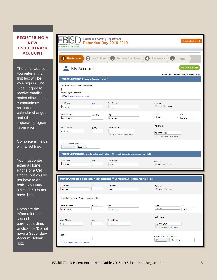#### **REGISTERING A NEW EZCHILDTRACK ACCOUNT**

The email address you enter in the first box will be your sign in. The "Yes! I agree to receive emails" option allows us to communicate reminders, calendar changes, and other important program information.

Complete all fields with a red line.

You must enter either a Home Phone or a Cell Phone, but you do not have to do both. You may select the "Do not have" box.

Complete the information for second parent/guardian, or click the "Do not have a Secondary Account Holder" box.

| <b>EXTENDED LEARNING</b>                                                                      |          | <b>Extended Learning Department</b><br><b>Extended Day 2018-2019</b>                | Exit Application X                                        |
|-----------------------------------------------------------------------------------------------|----------|-------------------------------------------------------------------------------------|-----------------------------------------------------------|
| 1 My Account 2 My Children                                                                    |          | <b>3</b> Terms & Conditions<br>$\boldsymbol{A}$                                     | Review fee<br>6<br>Finish                                 |
| My Account                                                                                    |          |                                                                                     | My Children →<br>Note: Fields marked with   are mandatory |
| Parent/Guardian 1 (Primary Account Holder)                                                    |          |                                                                                     |                                                           |
| Primary Account Holder Email Address<br>myemail@address.com<br>Yes! I agree to receive emails |          |                                                                                     |                                                           |
| Last Name<br><b>I</b> NewYear                                                                 | M.I      | <b>First Name</b><br>Jane                                                           | Gender<br>Male Pemale                                     |
| <b>Street Address</b><br>1234 Oak St                                                          | Apt. No. | City<br>Sugar Land                                                                  | State<br>Zip<br>Texas<br>▼.<br>77498-                     |
| Work Phone<br>$\rightarrow$                                                                   | Extn.    | Home Phone<br>Do not have Home Phone                                                | Cell Phone<br>(281) 555-1234<br>Do not have Cell Phone    |
| Driver's License Number<br>  Tx  <br>$\boldsymbol{\mathrm{v}}$<br>22334455                    |          |                                                                                     |                                                           |
|                                                                                               |          | Parent/Guardian 2 (Secondary Account Holder) Do not have a Secondary Account Holder |                                                           |
| Last Name<br><b>I</b> NewYear                                                                 | M.I      | <b>First Name</b><br><b>John</b>                                                    | Gender<br>■ Male Female                                   |
|                                                                                               |          | Parent/Guardian 2 (Secondary Account Holder) Do not have a Secondary Account Holder |                                                           |
| <b>Last Name</b><br><b>INewYear</b>                                                           | M.I      | <b>First Name</b><br><b>I</b> John                                                  | Gender<br><sup>◎</sup> Male Female                        |
| Address same as Primary Account Holder                                                        |          |                                                                                     |                                                           |
| <b>Street Address</b><br>1234 Oak St                                                          | Apt No   | City<br>Sugar Land                                                                  | State<br>Zip<br>Texas<br>▼<br>77498-                      |
| Work Phone<br>$\sim$                                                                          | Extn.    | Home Phone<br>$\sum_{i=1}^{n}$                                                      | Cell Phone<br>(281) 555-4567<br>Do not have Cell Phone    |
| Email<br>Yes! I agree to receive emails                                                       |          |                                                                                     | Driver's License Number<br>  Tx  <br>99887766             |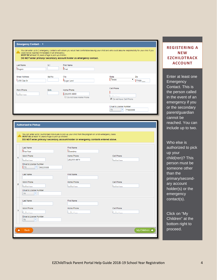| <b>Emergency Contact - 1</b>                                                                               |                |                                                                      |                                                                                                                                                            |
|------------------------------------------------------------------------------------------------------------|----------------|----------------------------------------------------------------------|------------------------------------------------------------------------------------------------------------------------------------------------------------|
| could not be reached immediately in an emergency.<br>MUST BE at least 16 years of age to pick up children. |                | DO NOT enter primary/ secondary account holder as emergency contact. | You can enter up to 2 emergency contacts with whom you would feel comfortable leaving your child and who could assume responsibility for your child if you |
| <b>Last Name</b><br>Rogers                                                                                 | M <sub>1</sub> | <b>First Name</b><br><b>I</b> Fred                                   |                                                                                                                                                            |
| <b>Street Address</b><br>1456 Oak St                                                                       | Apt No         | City<br>Sugar Land                                                   | <b>State</b><br>Zip<br>Texas<br>77498-                                                                                                                     |
| Work Phone                                                                                                 | Extn.          | Home Phone<br>(281) 555-8900<br>Do not have Home Phone               | Cell Phone<br>Do not have Cell Phone                                                                                                                       |
|                                                                                                            |                |                                                                      | Driver's License Number<br><b>TX</b><br>77880099                                                                                                           |

|                | <b>Authorized to Pickup</b>                                            |                                                                                                                                                                                                      |                               |  |  |  |  |
|----------------|------------------------------------------------------------------------|------------------------------------------------------------------------------------------------------------------------------------------------------------------------------------------------------|-------------------------------|--|--|--|--|
|                | MUST BE at least 16 years of age to pick up children.                  | You can enter up to 3 authorized individuals to pick up your child from the program on a non-emergency basis.<br>DO NOT enter primary/ secondary account holder or emergency contacts entered above. |                               |  |  |  |  |
| 1              | Last Name<br><b>NewYear</b><br>Work Phone<br>$\mathbf{1}$ $\mathbf{1}$ | <b>First Name</b><br><b>I</b> Grandma<br>Home Phone<br>(281) 555-9876                                                                                                                                | Cell Phone<br>$\sim 10^{-10}$ |  |  |  |  |
|                | Driver's License Number<br>$\star$<br>II TX<br>00225588<br>Last Name   | <b>First Name</b>                                                                                                                                                                                    |                               |  |  |  |  |
| $\overline{2}$ | Work Phone<br>$( )$ $-$<br>Driver's License Number<br>¥<br>TX.         | Home Phone<br>$1 - 3$                                                                                                                                                                                | Cell Phone<br>$(1 - 1)$       |  |  |  |  |
| 3              | Last Name<br>Work Phone<br>$1 - 5$<br>Driver's License Number          | <b>First Name</b><br>Home Phone<br><b>State</b>                                                                                                                                                      | Cell Phone<br>$\sim$          |  |  |  |  |
|                | ÷<br><b>TX</b><br><b>Back</b>                                          |                                                                                                                                                                                                      | My Children →                 |  |  |  |  |

#### **REGISTERING A NEW EZCHILDTRACK ACCOUNT**

Enter at least one **Emergency** Contact. This is the person called in the event of an emergency if you or the secondary parent/guardian cannot be reached. You can include up to two.

Who else is authorized to pick up your child(ren)? This person must be someone other than the primary/secondary account holder(s) or the emergency contact(s).

Click on "My Children" at the bottom right to proceed.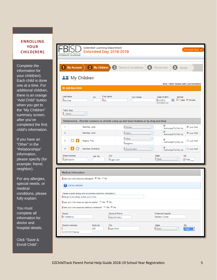#### **ENROLLING YOUR CHILD(REN)**

Complete the information for your child(ren). Each child is done one at a time. For additional children, there is an orange "Add Child" button when you get to the "My Children" summary screen, after you've completed the first child's information.

If you have an "Other" in the "Relationships" information, please specify (for example: friend, neighbor).

For any allergies, special needs, or medical conditions, please fully explain.

You must complete all information for doctor and hospital details.

Click "Save & Enroll Child".

|                                   | <b>EXTENDED LEARNING</b>                                                                                         |                                                                                                            |                    |                                                          |                                   |  |
|-----------------------------------|------------------------------------------------------------------------------------------------------------------|------------------------------------------------------------------------------------------------------------|--------------------|----------------------------------------------------------|-----------------------------------|--|
|                                   | 1 My Account                                                                                                     | $\bullet$<br>2 My Children                                                                                 | Terms & Conditions | O<br>Review fee<br>6)<br>Finish                          |                                   |  |
|                                   |                                                                                                                  | <b>AT</b> My Children                                                                                      |                    |                                                          |                                   |  |
|                                   |                                                                                                                  |                                                                                                            |                    | Note: Fields marked with are mandatory                   |                                   |  |
|                                   | <b>O</b> Add New Child                                                                                           |                                                                                                            |                    |                                                          |                                   |  |
| Last Name<br><b>INewYear</b>      |                                                                                                                  | <b>First Name</b><br>M.I<br>$\mathsf{l}_{\mathsf{Girl}}$                                                   | Nick Name          | Date Of Birth<br>Gender<br>圃<br>5/1/2011<br>(mm/dd/yyyy) | $\Box$ Male $\circledcirc$ Female |  |
| <b>T-Shirt Size</b><br>--Select-- |                                                                                                                  | ۳                                                                                                          |                    |                                                          |                                   |  |
|                                   |                                                                                                                  | Relationship - Reorder contacts on priority using up and down buttons or by drag and drop                  |                    |                                                          |                                   |  |
| 1                                 |                                                                                                                  | NewYear, Jane                                                                                              | Mother             | ✔<br>×<br>Authorized To Pick-Up                          | ■ Lives With                      |  |
| $\overline{2}$                    |                                                                                                                  | NewYear, John                                                                                              | Father             | $\blacktriangledown$<br>×<br>Authorized To Pick-Up       | Lives With                        |  |
| 3                                 |                                                                                                                  | Rogers, Fred                                                                                               | Other<br>Neighbor  | ۳<br>$\blacktriangledown$<br>Authorized To Pick-Up       | Lives With                        |  |
| 4                                 |                                                                                                                  | NewYear, Grandma                                                                                           | Grandmother        | ✔<br>÷<br>Authorized To Pick-Up                          | Lives With                        |  |
|                                   | <b>Street Address</b><br><b>State</b><br>City<br>Zip<br>Apt. No.<br>Texas<br>Sugar Land<br>77498-<br>1234 Oak St |                                                                                                            |                    |                                                          |                                   |  |
|                                   | <b>Medical Information</b>                                                                                       |                                                                                                            |                    |                                                          |                                   |  |
|                                   |                                                                                                                  | Does your child have any allergies? • Yes O No                                                             |                    |                                                          |                                   |  |
|                                   | List any allergies.                                                                                              |                                                                                                            |                    |                                                          |                                   |  |
|                                   |                                                                                                                  | Please explain allergy and all possible reactions (mandatory):<br>Allergic to tomatoes, break out in hives |                    |                                                          |                                   |  |
|                                   |                                                                                                                  | Does your child have any special needs? $\bigcirc$ Yes $\circledast$ No                                    |                    |                                                          |                                   |  |
|                                   |                                                                                                                  | Does your child have any medical conditions? O Yes O No                                                    |                    |                                                          |                                   |  |
|                                   |                                                                                                                  |                                                                                                            | Doctor's Phone     | Preferred Hospital<br>Pediatric Center                   |                                   |  |
| Doctor<br>Dr. Pediatrics          |                                                                                                                  |                                                                                                            | $(281)555 - 0011$  |                                                          |                                   |  |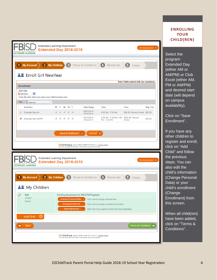| <b>Extended Learning Department</b>                                                          |                    |                                                                                                                                                                                                                                                                                                                                                                                                                                         |            |                                                      |                                                                                                                                   |                                                         |                                        |                    |
|----------------------------------------------------------------------------------------------|--------------------|-----------------------------------------------------------------------------------------------------------------------------------------------------------------------------------------------------------------------------------------------------------------------------------------------------------------------------------------------------------------------------------------------------------------------------------------|------------|------------------------------------------------------|-----------------------------------------------------------------------------------------------------------------------------------|---------------------------------------------------------|----------------------------------------|--------------------|
| <b>EXTENDED LEARNING</b>                                                                     |                    |                                                                                                                                                                                                                                                                                                                                                                                                                                         |            | <b>Extended Day 2018-2019</b>                        |                                                                                                                                   |                                                         |                                        | Exit Application X |
|                                                                                              |                    |                                                                                                                                                                                                                                                                                                                                                                                                                                         |            |                                                      |                                                                                                                                   |                                                         |                                        |                    |
| My Account<br>1                                                                              | 2 My Children      |                                                                                                                                                                                                                                                                                                                                                                                                                                         | B          |                                                      | Terms & Conditions                                                                                                                | (4<br>Review fee                                        | 6<br>Finish                            |                    |
| 스출 Enroll Girl NewYear                                                                       |                    |                                                                                                                                                                                                                                                                                                                                                                                                                                         |            |                                                      |                                                                                                                                   |                                                         |                                        |                    |
|                                                                                              |                    |                                                                                                                                                                                                                                                                                                                                                                                                                                         |            |                                                      |                                                                                                                                   |                                                         | Note: Fields marked with are mandatory |                    |
| <b>Enrollment</b>                                                                            |                    |                                                                                                                                                                                                                                                                                                                                                                                                                                         |            |                                                      |                                                                                                                                   |                                                         |                                        |                    |
| <b>Start Date</b><br>圃<br>8/15/2018<br>Enter the date when you want your child to begin care |                    |                                                                                                                                                                                                                                                                                                                                                                                                                                         |            |                                                      |                                                                                                                                   |                                                         |                                        |                    |
| Site:<br>Lakeview                                                                            | ٠                  |                                                                                                                                                                                                                                                                                                                                                                                                                                         |            |                                                      |                                                                                                                                   |                                                         |                                        |                    |
| <b>Activities</b>                                                                            |                    | M T W Th F                                                                                                                                                                                                                                                                                                                                                                                                                              |            |                                                      | Date Range                                                                                                                        | <b>Time</b>                                             | Fees                                   | Reg. Fee           |
| Extended Day AM                                                                              |                    | $\begin{array}{ccc} \sqrt{3} & \sqrt{3} & \sqrt{3} \\ \sqrt{3} & \sqrt{3} & \sqrt{3} \\ \sqrt{3} & \sqrt{3} & \sqrt{3} \\ \sqrt{3} & \sqrt{3} & \sqrt{3} \\ \sqrt{3} & \sqrt{3} & \sqrt{3} \\ \sqrt{3} & \sqrt{3} & \sqrt{3} \\ \sqrt{3} & \sqrt{3} & \sqrt{3} \\ \sqrt{3} & \sqrt{3} & \sqrt{3} \\ \sqrt{3} & \sqrt{3} & \sqrt{3} \\ \sqrt{3} & \sqrt{3} & \sqrt{3} \\ \sqrt{3} & \sqrt{3} & \sqrt{3} \\ \sqrt{3} & \sqrt{3} & \sqrt{$ |            |                                                      | 08/15/2018 -<br>05/24/2019                                                                                                        | 6:30 AM - 7:30 AM                                       | \$90.00 / Service Period \$50.00       |                    |
| $\blacktriangledown$<br><b>Extended Day AM/PM</b>                                            |                    | $\begin{array}{cccccccccc} \mathcal{A} & \mathcal{A} & \mathcal{A} & \mathcal{A} & \mathcal{A} \end{array}$                                                                                                                                                                                                                                                                                                                             |            |                                                      | 08/15/2018 -<br>05/24/2019                                                                                                        | 6:30 AM - 7:30 AM, 3:00<br>PM - 6:30 PM                 | \$250.00 / Service<br>Period           | \$50.00            |
|                                                                                              |                    |                                                                                                                                                                                                                                                                                                                                                                                                                                         |            |                                                      |                                                                                                                                   |                                                         |                                        |                    |
|                                                                                              |                    |                                                                                                                                                                                                                                                                                                                                                                                                                                         |            | Save Enrollment (                                    | Cancel $(X)$                                                                                                                      |                                                         |                                        |                    |
|                                                                                              |                    |                                                                                                                                                                                                                                                                                                                                                                                                                                         |            |                                                      |                                                                                                                                   |                                                         |                                        |                    |
|                                                                                              |                    |                                                                                                                                                                                                                                                                                                                                                                                                                                         |            |                                                      | <b>EZChildTrack</b> Version 2018.1.0308 @ GTSoft Inc.   Privacy Policy<br>You are using EZChildTrack in Windows using Chrome 65.0 |                                                         |                                        |                    |
|                                                                                              |                    |                                                                                                                                                                                                                                                                                                                                                                                                                                         |            |                                                      |                                                                                                                                   |                                                         |                                        |                    |
|                                                                                              |                    |                                                                                                                                                                                                                                                                                                                                                                                                                                         |            |                                                      |                                                                                                                                   |                                                         |                                        |                    |
| <b>Extended Learning Department</b>                                                          |                    |                                                                                                                                                                                                                                                                                                                                                                                                                                         |            |                                                      |                                                                                                                                   |                                                         |                                        |                    |
|                                                                                              |                    |                                                                                                                                                                                                                                                                                                                                                                                                                                         |            | <b>Extended Day 2018-2019</b>                        |                                                                                                                                   |                                                         |                                        |                    |
|                                                                                              |                    |                                                                                                                                                                                                                                                                                                                                                                                                                                         |            |                                                      |                                                                                                                                   |                                                         |                                        |                    |
| $\mathbf{2}$<br><b>My Account</b>                                                            | <b>My Children</b> |                                                                                                                                                                                                                                                                                                                                                                                                                                         | $\sqrt{3}$ |                                                      | Terms & Conditions                                                                                                                | Review fee                                              | 6<br>Finish                            |                    |
|                                                                                              |                    |                                                                                                                                                                                                                                                                                                                                                                                                                                         |            |                                                      |                                                                                                                                   |                                                         |                                        |                    |
| <b>主営</b> My Children                                                                        |                    |                                                                                                                                                                                                                                                                                                                                                                                                                                         |            |                                                      |                                                                                                                                   |                                                         |                                        |                    |
| $\boldsymbol{C}$<br>Girl                                                                     |                    |                                                                                                                                                                                                                                                                                                                                                                                                                                         |            |                                                      | Enrolling at Lakeview for AM & PM Programs                                                                                        |                                                         |                                        |                    |
| <b>EXTENDED LEARNING</b><br>5/1/2011<br>Grade: 1                                             |                    |                                                                                                                                                                                                                                                                                                                                                                                                                                         |            | Change Personal Data @                               |                                                                                                                                   | Click here to change personal data                      |                                        |                    |
|                                                                                              |                    |                                                                                                                                                                                                                                                                                                                                                                                                                                         |            | <b>Change Enrollment</b><br><b>Skip Registration</b> | ø<br>$\triangleq$                                                                                                                 | Click here to change enrollment information             |                                        | Exit Application X |
|                                                                                              |                    |                                                                                                                                                                                                                                                                                                                                                                                                                                         |            |                                                      |                                                                                                                                   | Click here if you want to remove Girl from registration |                                        |                    |
| $\odot$<br><b>Add Child</b>                                                                  |                    |                                                                                                                                                                                                                                                                                                                                                                                                                                         |            |                                                      |                                                                                                                                   |                                                         |                                        |                    |
| <b>Back</b>                                                                                  |                    |                                                                                                                                                                                                                                                                                                                                                                                                                                         |            |                                                      |                                                                                                                                   |                                                         | Terms & Conditions →                   |                    |

#### **ENROLLING YOUR CHILD(REN)**

Select the program: Extended Day (either AM or AM/PM) or Club Excel (either AM, PM or AM/PM) and desired start date (will depend on campus availability).

Click on "Save Enrollment".

If you have any other children to register and enroll, click on "Add Child" and follow the previous steps. You can also edit the child's information (Change Personal Data) or your child's enrollment (Change Enrollment) from this screen.

When all child(ren) have been added, click on "Terms & Conditions".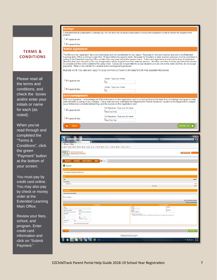#### **TERMS & CONDITIONS**

Please read all the terms and conditions, and check the boxes and/or enter your initials or name for each (as noted).

When you've read through and completed the "Terms & Conditions", click the green "Payment" button at the bottom of your screen.

You must pay by credit card online. You may also pay by check or money order at the Extended Learning Main Office.

Review your fees, school, and program. Enter credit card information and click on "Submit Payment."

#### **Surveys**

understand that as a participant in Extended Day, my child and I may be asked to participate in surveys and evaluations in order to monitor the progress of the program

I agree for Girl

 $\Box$  | agree for Boy

#### **Tuition Agreement**

The \$50 summer registration fee is non-refundable and non-transferable for any reason. Requests for refunds must be received by the Extended The \$50 summer registration fee is non-refundable and non-transferable for any reason. Hequests for refunds must be received by the Extended Learning Main Office in writing no later than 10 days before the session starts. payments. Refer to the website for complete tuition and payment guidelines.

PLEASE NOTE YOU ARE NOT ABLE TO SIGN UP FOR AUTOMATIC PAYMENTS FOR THE SUMMER PROGRAM.

Full Signature - Type your full name

Full Signature - Type your full name

Jane NewYear

Jane NewYear

| I di agree for Girl              | Initials - Type your initials |  |  |
|----------------------------------|-------------------------------|--|--|
|                                  | lın                           |  |  |
| │ <mark>Ø</mark>   agree for Boy | Initials - Type your initials |  |  |
|                                  |                               |  |  |

#### Acknowledgement

With my e-signature, I acknowledge all of the information on this registration card is correct and true to the best of my knowledge and agree to notify of the Department's Parent Handbook, located on the experiment's Parent Handbook, located on the department's website<br>(www.fortbendisd.com/extendedlearning) and the policies on this registration card.

I agree for Girl

I diagree for Boy

A **Back**